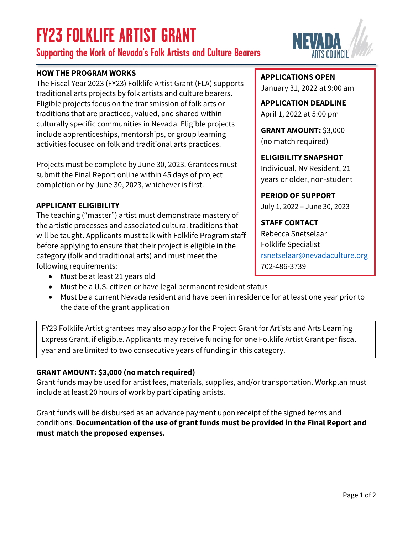# **FY23 FOLKLIFE ARTIST GRANT**

**Supporting the Work of Nevada's Folk Artists and Culture Bearers**

### **HOW THE PROGRAM WORKS**

The Fiscal Year 2023 (FY23) Folklife Artist Grant (FLA) supports traditional arts projects by folk artists and culture bearers. Eligible projects focus on the transmission of folk arts or traditions that are practiced, valued, and shared within culturally specific communities in Nevada. Eligible projects include apprenticeships, mentorships, or group learning activities focused on folk and traditional arts practices.

Projects must be complete by June 30, 2023. Grantees must submit the Final Report online within 45 days of project completion or by June 30, 2023, whichever is first.

#### **APPLICANT ELIGIBILITY**

The teaching ("master") artist must demonstrate mastery of the artistic processes and associated cultural traditions that will be taught. Applicants must talk with Folklife Program staff before applying to ensure that their project is eligible in the category (folk and traditional arts) and must meet the following requirements:

- Must be at least 21 years old
- Must be a U.S. citizen or have legal permanent resident status
- Must be a current Nevada resident and have been in residence for at least one year prior to the date of the grant application

FY23 Folklife Artist grantees may also apply for the Project Grant for Artists and Arts Learning Express Grant, if eligible. Applicants may receive funding for one Folklife Artist Grant per fiscal year and are limited to two consecutive years of funding in this category.

## **GRANT AMOUNT: \$3,000 (no match required)**

Grant funds may be used for artist fees, materials, supplies, and/or transportation. Workplan must include at least 20 hours of work by participating artists.

Grant funds will be disbursed as an advance payment upon receipt of the signed terms and conditions. **Documentation of the use of grant funds must be provided in the Final Report and must match the proposed expenses.**

#### **APPLICATIONS OPEN**

January 31, 2022 at 9:00 am

**APPLICATION DEADLINE** April 1, 2022 at 5:00 pm

**GRANT AMOUNT:** \$3,000 (no match required)

**ELIGIBILITY SNAPSHOT** Individual, NV Resident, 21 years or older, non-student

**PERIOD OF SUPPORT** July 1, 2022 – June 30, 2023

**STAFF CONTACT** Rebecca Snetselaar Folklife Specialist [rsnetselaar@nevadaculture.org](mailto: rsnetselaar@nevadaculture.org) 702-486-3739